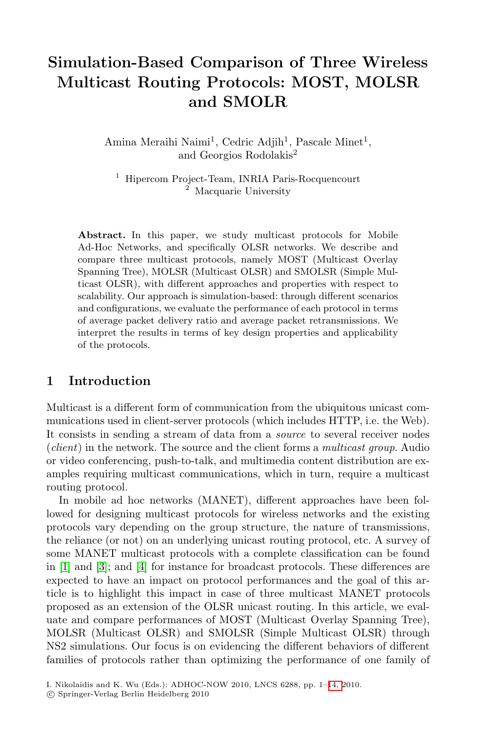# **Simulation-Based Comparison of Three Wireless Multicast Routing Protocols: MOST, MOLSR and SMOLR**

Amina Meraihi Naimi<sup>1</sup>, Cedric Adjih<sup>1</sup>, Pascale Minet<sup>1</sup>, and Georgios Rodolakis<sup>2</sup>

 $^{\rm 1}$  Hipercom Project-Team, INRIA Paris-Rocquencourt Macquarie University

**Abstract.** In this paper, we study multicast protocols for Mobile Ad-Hoc Networks, and specifically OLSR networks. We describe and compare three multicast protocols, namely MOST (Multicast Overlay Spanning Tree), MOLSR (Multicast OLSR) and SMOLSR (Simple Multicast OLSR), with different approaches and properties with respect to scalability. Our approach is simulation-based: through different scenarios and configurations, we evaluate the performance of each protocol in terms of average packet delivery ratio and average packet retransmissions. We interpret the results in terms of key design properties and applicability of the protocols.

## **1 Introduction**

Multicast is a different form of communication from the ubiquitous unicast communications used in client-server protocols (which includes HTTP, i.e. the Web). It consists in sending a stream of data from a *source* to several receiver nodes (*client*) in the network. The source and the client forms a *multicast group*. Audio [or](#page-13-0) video conferencing, push-to-talk, and multimedia content distribution are examples requiring multicast communications, which in turn, require a multicast routing protocol.

In mobile ad hoc networks (MANET), different approaches have been followed for designing multicast protocols for wireless networks and the existing protocols vary depending on the group structure, the nature of transmissions, the reliance (or not) on an underlying unicast routing protocol, etc. A survey of some MANET multicast protocols with a complete classification can be found in [1] and [3]; and [4] for instance for broadcast protocols. These differences are expected to have an impact on protoc[ol p](#page-13-1)erformances and the goal of this article is to highlight this impact in case of three multicast MANET protocols proposed as an extension of the OLSR unicast routing. In this article, we evaluate and compare performances of MOST (Multicast Overlay Spanning Tree), MOLSR (Multicast OLSR) and SMOLSR (Simple Multicast OLSR) through NS2 simulations. Our focus is on evidencing the different behaviors of different families of protocols rather than optimizing the performance of one family of

I. Nikolaidis and K. Wu (Eds.): ADHOC-NOW 2010, LNCS 6288, pp. 1–14, 2010.

<sup>-</sup>c Springer-Verlag Berlin Heidelberg 2010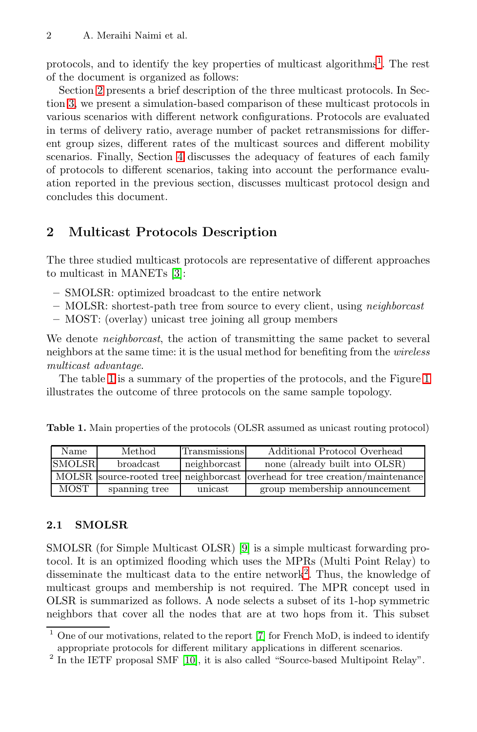protoco[ls,](#page-11-0) and to identify the key properties of multicast algorithms<sup>1</sup>. The rest of the document is organized as follows:

Section 2 presents a brief description of the three multicast protocols. In Section 3, we present a simulation-based comparison of these multicast protocols in various scenarios with different network configurations. Protocols are evaluated in terms of delivery ratio, average number of packet retransmissions for different group sizes, different rates of the multicast sources and different mobility scenarios. Finally, Section 4 discusses the adequacy of features of each family of prot[oc](#page-13-2)ols to different scenarios, taking into account the performance evaluation reported in the previous section, discusses multicast protocol design and concludes this document.

## **2 Multicast Protocols Description**

The three studied multicast protocols are representative of different approaches to multicast in MANETs [3]:

- **–** SMOLSR: optimized broadcast to the entire network
- **–** MOLSR: shortest-path tree from source to every client, using *neighborcast*
- **–** MOST: (overlay) unicast tree joining all group members

<span id="page-1-1"></span>We denote *neighborcast*, the action of transmitting the same packet to several neighbors at the same time: it is the usual method for benefiting from the *wireless multicast advantage*.

The table 1 is a summary of the properties of the protocols, and the Figure 1 illustrates the outcome of three protocols on the same sample topology.

**Table 1.** Main properties of the protocols (OLSR assumed as unicast routing protocol)

| Name          | Method           | <b>Transmissions</b> | Additional Protocol Overhead                                                 |
|---------------|------------------|----------------------|------------------------------------------------------------------------------|
| <b>SMOLSR</b> | <b>broadcast</b> | neighborcast         | none (already built into OLSR)                                               |
|               |                  |                      | MOLSR source-rooted tree neighborcast overhead for tree creation/maintenance |
| MOST          | spanning tree    | unicast              | group membership announcement                                                |

## **2.1 SMOLSR**

<span id="page-1-0"></span>SMOLSR (for Simple Multicast OLSR) [9] is a simple multicast forwarding protocol. It i[s](#page-13-4) [a](#page-13-4)n optimized flooding which uses the MPRs (Multi Point Relay) to disseminate the multicast data to the entire network<sup>2</sup>. Thus, the knowledge of multicast groups and membership is not required. The MPR concept used in OLSR is summarized as follows. A node selects a subset of its 1-hop symmetric neighbors that cover all the nodes that are at two hops from it. This subset

<sup>1</sup> One of our motivations, related to the report [7] for French MoD, is indeed to identify appropriate protocols for different military applications in different scenarios.

<sup>&</sup>lt;sup>2</sup> In the IETF proposal SMF [10], it is also called "Source-based Multipoint Relay".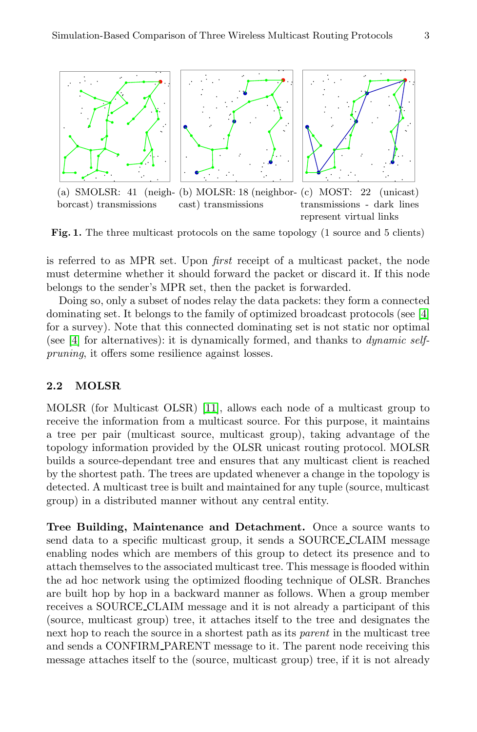

Fig. 1. The three multicast protocols on the same topology (1 source and 5 clients)

is referred to as MPR set. Upon *first* receipt of a multicast packet, the node must determine whether it should forward the packet or discard it. If this node belongs to the sender's MPR set, then the packet is forwarded.

Doing so, o[nly](#page-13-5) a subset of nodes relay the data packets: they form a connected dominating set. It belongs to the family of optimized broadcast protocols (see [4] for a survey). Note that this connected dominating set is not static nor optimal (see [4] for alternatives): it is dynamically formed, and thanks to *dynamic selfpruning*, it offers some resilience against losses.

### **2.2 MOLSR**

MOLSR (for Multicast OLSR) [11], allows each node of a multicast group to receive the information from a multicast source. For this purpose, it maintains a tree per pair (multicast source, multicast group), taking advantage of the topology information provided by the OLSR unicast routing protocol. MOLSR builds a source-dependant tree and ensures that any multicast client is reached by the shortest path. The trees are updated whenever a change in the topology is detected. A multicast tree is built and maintained for any tuple (source, multicast group) in a distributed manner without any central entity.

**Tree Building, Maintenance and Detachment.** Once a source wants to send data to a specific multicast group, it sends a SOURCE CLAIM message enabling nodes which are members of this group to detect its presence and to attach themselves to the associated multicast tree. This message is flooded within the ad hoc network using the optimized flooding technique of OLSR. Branches are built hop by hop in a backward manner as follows. When a group member receives a SOURCE CLAIM message and it is not already a participant of this (source, multicast group) tree, it attaches itself to the tree and designates the next hop to reach the source in a shortest path as its *parent* in the multicast tree and sends a CONFIRM PARENT message to it. The parent node receiving this message attaches itself to the (source, multicast group) tree, if it is not already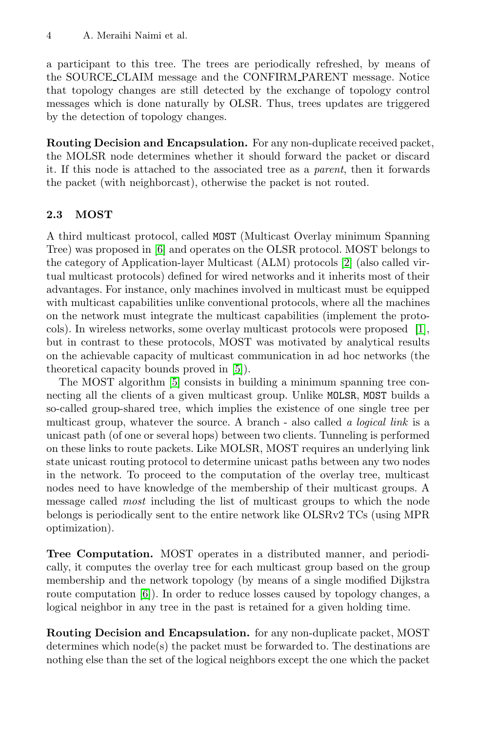a participant to this tree. The trees are periodically refreshed, by means of the SOURCE CLAIM message and the CONFIRM PARENT message. Notice that topology changes are still detected by the exchange of topology control messages which is done naturally by OLSR. Thus, trees updates are triggered by the detection of topology changes.

**Ro[ut](#page-13-6)ing Decision and Encapsulation.** For any non-duplicate received packet, the MOLSR node determines whether it [sh](#page-13-7)ould forward the packet or discard it. If this node is attached to the associated tree as a *parent*, then it forwards the packet (with neighborcast), otherwise the packet is not routed.

#### **2.3 MOST**

A third multicast protocol, called MOST (Multicast Overl[ay](#page-13-8) minimum Spanning Tree) was proposed in [6] and operates on the OLSR protocol. MOST belongs to the category of App[lic](#page-13-9)ation-layer Multicast (ALM) protocols [2] (also called virtual m[ult](#page-13-9)icast protocols) defined for wired networks and it inherits most of their advantages. For instance, only machines involved in multicast must be equipped with multicast capabilities unlike conventional protocols, where all the machines on the network must integrate the multicast capabilities (implement the protocols). In wireless networks, some overlay multicast protocols were proposed [1], but in contrast to these protocols, MOST was motivated by analytical results on the achievable capacity of multicast communication in ad hoc networks (the theoretical capacity bounds proved in [5]).

The MOST algorithm [5] consists in building a minimum spanning tree connecting all the clients of a given multicast group. Unlike MOLSR, MOST builds a so-called group-shared tree, which implies the existence of one single tree per multicast group, whatever the source. A branch - also called *a logical link* is a unicast path (of one or several hops) between two clients. Tunneling is performed on these links to route packets. Like MOLSR, MOST requires an underlying link state unicast routing protocol to determine unicast paths between any two nodes in the network. To proceed to the computation of the overlay tree, multicast [no](#page-13-6)des need to have knowledge of the membership of their multicast groups. A message called *most* including the list of multicast groups to which the node belongs is periodically sent to the entire network like OLSRv2 TCs (using MPR optimization).

**Tree Computation.** MOST operates in a distributed manner, and periodically, it computes the overlay tree for each multicast group based on the group membership and the network topology (by means of a single modified Dijkstra route computation [6]). In order to reduce losses caused by topology changes, a logical neighbor in any tree in the past is retained for a given holding time.

**Routing Decision and Encapsulation.** for any non-duplicate packet, MOST determines which node(s) the packet must be forwarded to. The destinations are nothing else than the set of the logical neighbors except the one which the packet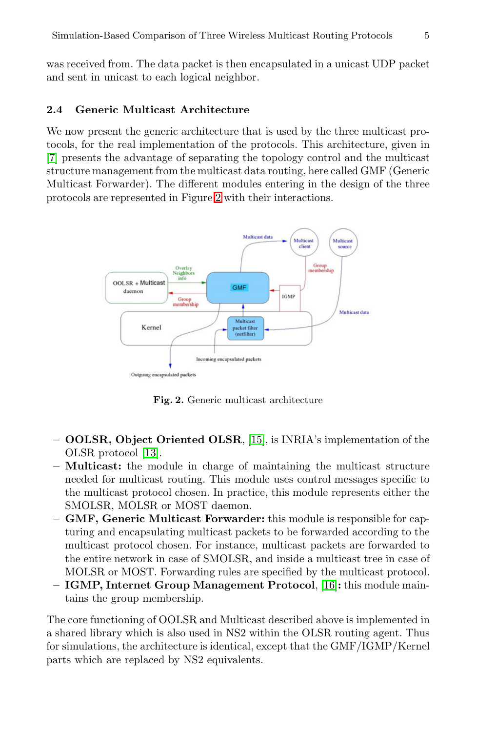was received from. The data packet is then encapsulated in a unicast UDP packet and sent in unicast to each logical neighbor.

## **2.4 Generic Multicast Architecture**

We now present the generic architecture that is used by the three multicast protocols, for the real implementation of the protocols. This architecture, given in [7] presents the advantage of separating the topology control and the multicast structure management from the multicast data routing, here called GMF (Generic Multicast Forwarder). The different modules entering in the design of the three protocols are represented in Figure 2 with their interactions.



**Fig. 2.** Generic multicast architecture

- **OOLSR, Object Oriented OLSR**, [15], is INRIA's implementation of the OLSR protocol [13].
- **Multicast:** the module in charge of maintaining the multicast structure needed for multicast routing. This [mo](#page-13-10)dule uses control messages specific to the multicast protocol chosen. In practice, this module represents either the SMOLSR, MOLSR or MOST daemon.
- **GMF, Generic Multicast Forwarder:** this module is responsible for capturing and encapsulating multicast packets to be forwarded according to the multicast protocol chosen. For instance, multicast packets are forwarded to the entire network in case of SMOLSR, and inside a multicast tree in case of MOLSR or MOST. Forwarding rules are specified by the multicast protocol.
- **IGMP, Internet Group Management Protocol**, [16]**:** this module maintains the group membership.

The core functioning of OOLSR and Multicast described above is implemented in a shared library which is also used in NS2 within the OLSR routing agent. Thus for simulations, the architecture is identical, except that the GMF/IGMP/Kernel parts which are replaced by NS2 equivalents.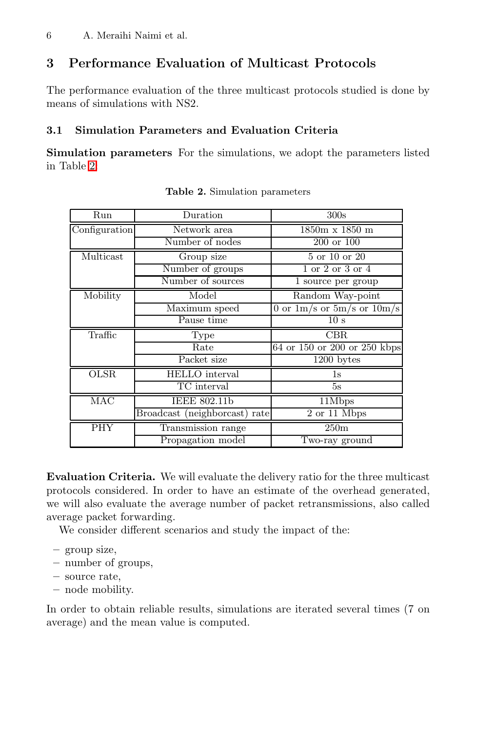## **3 Performance Evaluation of Multicast Protocols**

The performance evaluation of the three multicast protocols studied is done by means of simulations with NS2.

## **3.1 Simulation Parameters and Evaluation Criteria**

**Simulation parameters** For the simulations, we adopt the parameters listed in Table 2:

| Run           | Duration                      | 300s                             |
|---------------|-------------------------------|----------------------------------|
| Configuration | Network area                  | $1850m \times 1850m$             |
|               | Number of nodes               | 200 or 100                       |
| Multicast     | Group size                    | 5 or 10 or 20                    |
|               | Number of groups              | 1 or 2 or 3 or 4                 |
|               | Number of sources             | 1 source per group               |
| Mobility      | Model                         | Random Way-point                 |
|               | Maximum speed                 | 0 or $1m/s$ or $5m/s$ or $10m/s$ |
|               | Pause time                    | 10 s                             |
|               |                               |                                  |
| Traffic       | Type                          | CBR.                             |
|               | Rate                          | 64 or 150 or 200 or 250 kbps     |
|               | Packet size                   | $\overline{1200}$ bytes          |
| <b>OLSR</b>   | <b>HELLO</b> interval         | 1s                               |
|               | TC interval                   | 5s                               |
| MAC           | IEEE 802.11b                  | 11Mbps                           |
|               | Broadcast (neighborcast) rate | 2 or 11 Mbps                     |
| <b>PHY</b>    | Transmission range            | 250m                             |

**Table 2.** Simulation parameters

**Evaluation Criteria.** We will evaluate the delivery ratio for the three multicast protocols considered. In order to have an estimate of the overhead generated, we will also evaluate the average number of packet retransmissions, also called average packet forwarding.

We consider different scenarios and study the impact of the:

- **–** group size,
- **–** number of groups,
- **–** source rate,
- **–** node mobility.

In order to obtain reliable results, simulations are iterated several times (7 on average) and the mean value is computed.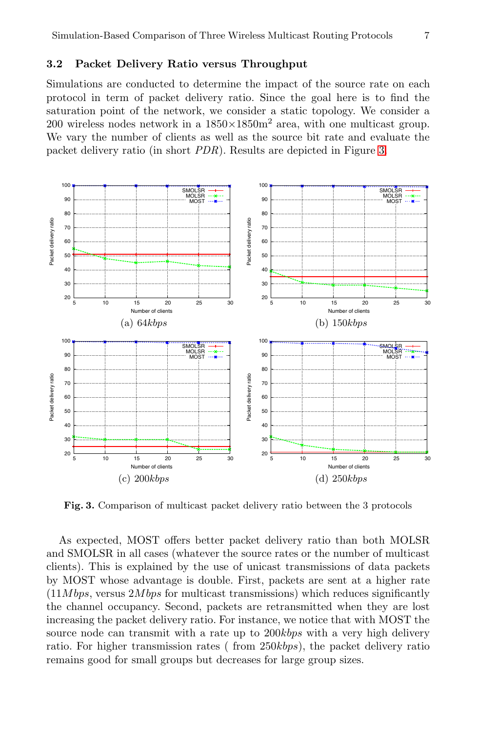## **3.2 Packet Delivery Ratio versus Throughput**

Simulations are conducted to determine the impact of the source rate on each protocol in term of packet delivery ratio. Since the goal here is to find the saturation point of the network, we consider a static topology. We consider a 200 wireless nodes network in a  $1850 \times 1850$  area, with one multicast group. We vary the number of clients as well as the source bit rate and evaluate the packet delivery ratio (in short *PDR*). Results are depicted in Figure 3.



**Fig. 3.** Comparison of multicast packet delivery ratio between the 3 protocols

As expected, MOST offers better packet delivery ratio than both MOLSR and SMOLSR in all cases (whatever the source rates or the number of multicast clients). This is explained by the use of unicast transmissions of data packets by MOST whose advantage is double. First, packets are sent at a higher rate (11*M bps*, versus 2*M bps* for multicast transmissions) which reduces significantly the channel occupancy. Second, packets are retransmitted when they are lost increasing the packet delivery ratio. For instance, we notice that with MOST the source node can transmit with a rate up to 200*kbps* with a very high delivery ratio. For higher transmission rates ( from 250*kbps*), the packet delivery ratio remains good for small groups but decreases for large group sizes.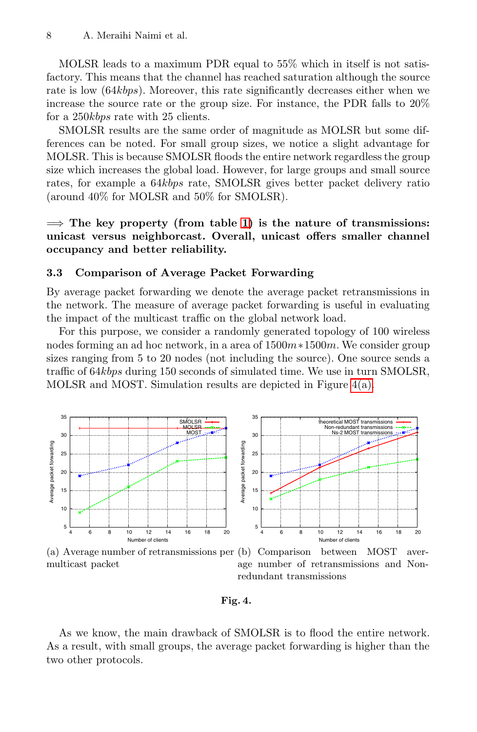MOLSR leads to a maximum PDR equal to 55% which in itself is not satisfactory. This means that the channel has reached saturation although the source rate is low (64*kbps*). Moreover, this rate significantly decreases either when we increase the source rate or the group size. For instance, the PDR falls to 20% for a 250*kbps* rate wi[th](#page-1-1) 25 clients.

SMOLSR results are the same order of magnitude as MOLSR but some differences can be noted. For small group sizes, we notice a slight advantage for MOLSR. This is because SMOLSR floods the entire network regardless the group size which increases the global load. However, for large groups and small source rates, for example a 64*kbps* rate, SMOLSR gives better packet delivery ratio (around 40% for MOLSR and 50% for SMOLSR).

=⇒ **The key property (from table 1) is the nature of transmissions: unicast versus neighborcast. Overall, unicast offers smaller channel occupancy and better reliability.**

#### **3.3 Comparison of Average Packet Forwarding**

<span id="page-7-0"></span>By average packet forwarding we denote th[e](#page-7-0) [ave](#page-7-0)rage packet retransmissions in the network. The measure of average packet forwarding is useful in evaluating the impact of the multicast traffic on the global network load.

For this purpose, we consider a randomly generated topology of 100 wireless nodes forming an ad hoc network, in a area of 1500*m*∗1500*m*. We consider group sizes ranging from 5 to 20 nodes (not including the source). One source sends a traffic of 64*kbps* during 150 seconds of simulated time. We use in turn SMOLSR, MOLSR and MOST. Simulation results are depicted in Figure 4(a).

<span id="page-7-1"></span>

(a) Average number of retransmissions per (b) Comparison between MOST avermulticast packet age number of retransmissions and Nonredundant transmissions

#### **Fig. 4.**

As we know, the main drawback of SMOLSR is to flood the entire network. As a result, with small groups, the average packet forwarding is higher than the two other protocols.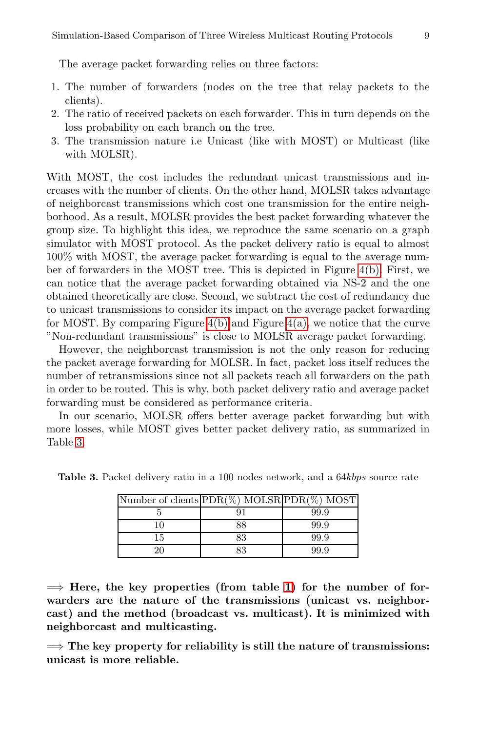The average packet forwarding relies on three factors:

- 1. The number of forwarders (nodes on the tree that relay packets to the clients).
- 2. The ratio of received packets on each forwarder. This in turn depends on the loss probability on each branch on the tree.
- 3. The transmission nature i.e Unicast (like with MOST) or Multicast (like with MOLSR).

With MOST, the cost includes the redund[ant](#page-7-1) [u](#page-7-1)nicast transmissions and increases with the number of clients. On the other hand, MOLSR takes advantage of neighborcast transmissions which cost one transmission for the entire neighborhood. As a [resul](#page-7-1)t, MOLSR [provi](#page-7-0)des the best packet forwarding whatever the group size. To highlight this idea, we reproduce the same scenario on a graph simulator with MOST protocol. As the packet delivery ratio is equal to almost 100% with MOST, the average packet forwarding is equal to the average number of forwarders in the MOST tree. This is depicted in Figure 4(b). First, we can notice that the average packet forwarding obtained via NS-2 and the one obtained theoretically are close. Second, we subtract the cost of redundancy due to unicast transmissions to consider its impact on the average packet forwarding for MOST. By comparing Figure  $4(b)$  and Figure  $4(a)$ , we notice that the curve "Non-redundant transmissions" is close to MOLSR average packet forwarding.

However, the neighborcast transmission is not the only reason for reducing the packet average forwarding for MOLSR. In fact, packet loss itself reduces the number of retransmissions since not all packets reach all forwarders on the path in order to be routed. This is why, both packet delivery ratio and average packet forwarding must be considered as performance criteria.

In our scenario, MOLSR offers better average packet forwarding but with more losses, while MOST gives better packet delivery ratio, as summarized in Table 3.

| Number of clients $\text{PDR}(\%)$ MOLSR $\text{PDR}(\%)$ MOST |    |      |
|----------------------------------------------------------------|----|------|
|                                                                |    | 99.9 |
|                                                                | 88 | 99.9 |
| 15                                                             | 83 | 99.9 |
|                                                                | 83 | 99 9 |

**Table 3.** Packet delivery rati[o in](#page-1-1) a 100 nodes network, and a 64*kbps* source rate

 $\implies$  **Here, the key properties (from table 1) for the number of forwarders are the nature of the transmissions (unicast vs. neighborcast) and the method (broadcast vs. multicast). It is minimized with neighborcast and multicasting.**

=⇒ **The key property for reliability is still the nature of transmissions: unicast is more reliable.**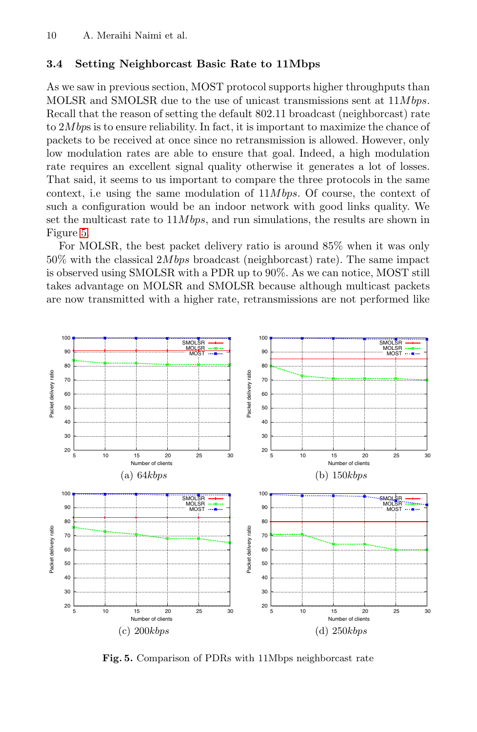## **3.4 Setting Neighborcast Basic Rate to 11Mbps**

As we saw in previous section, MOST protocol supports higher throughputs than MOLSR and SMOLSR due to the use of unicast transmissions sent at 11*M bps*. Recall that the reason of setting the default 802*.*11 broadcast (neighborcast) rate to 2*M bp*s is to ensure reliability. In fact, it is important to maximize the chance of packets to be received at once since no retransmission is allowed. However, only low modulation rates are able to ensure that goal. Indeed, a high modulation rate requires an excellent signal quality otherwise it generates a lot of losses. That said, it seems to us important to compare the three protocols in the same context, i.e using the same modulation of 11*M bps*. Of course, the context of such a configuration would be an indoor network with good links quality. We set the multicast rate to 11*M bps*, and run simulations, the results are shown in Figure 5.

For MOLSR, the best packet delivery ratio is around 85% when it was only 50% with the classical 2*M bps* broadcast (neighborcast) rate). The same impact is observed using SMOLSR with a PDR up to 90%. As we can notice, MOST still takes advantage on MOLSR and SMOLSR because although multicast packets are now transmitted with a higher rate, retransmissions are not performed like



**Fig. 5.** Comparison of PDRs with 11Mbps neighborcast rate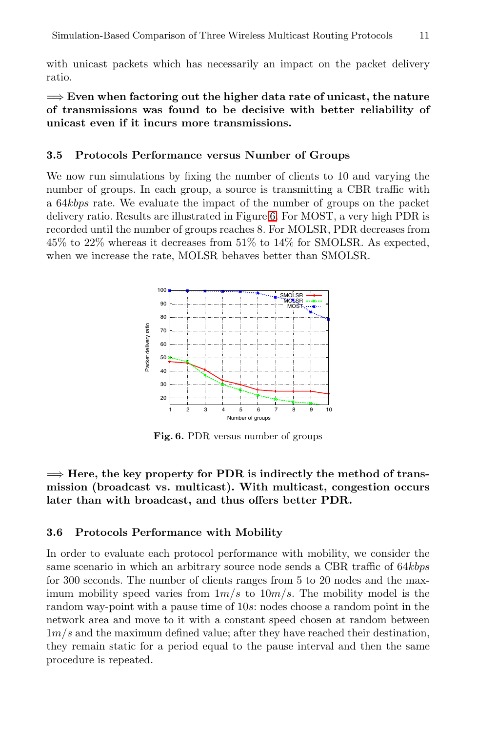with unicast packets which has necessarily an impact on the packet delivery ratio.

=⇒ **Even when factoring out the higher data rate of unicast, the nature of transmissions was f[ou](#page-10-0)nd to be decisive with better reliability of unicast even if it incurs more transmissions.**

#### **3.5 Protocols Performance versus Number of Groups**

We now run simulations by fixing the number of clients to 10 and varying the number of groups. In each group, a source is transmitting a CBR traffic with a 64*kbps* rate. We evaluate the impact of the number of groups on the packet delivery ratio. Results are illustrated in Figure 6. For MOST, a very high PDR is recorded until the number of groups reaches 8. For MOLSR, PDR decreases from 45% to 22% whereas it decreases from 51% to 14% for SMOLSR. As expected, when we increase the rate, MOLSR behaves better than SMOLSR.

<span id="page-10-0"></span>

**Fig. 6.** PDR versus number of groups

 $\Rightarrow$  Here, the key property for PDR is indirectly the method of trans**mission (broadcast vs. multicast). With multicast, congestion occurs later than with broadcast, and thus offers better PDR.**

#### **3.6 Protocols Performance with Mobility**

In order to evaluate each protocol performance with mobility, we consider the same scenario in which an arbitrary source node sends a CBR traffic of 64*kbps* for 300 seconds. The number of clients ranges from 5 to 20 nodes and the maximum mobility speed varies from 1*m/s* to 10*m/s*. The mobility model is the random way-point with a pause time of 10*s*: nodes choose a random point in the network area and move to it with a constant speed chosen at random between 1*m/s* and the maximum defined value; after they have reached their destination, they remain static for a period equal to the pause interval and then the same procedure is repeated.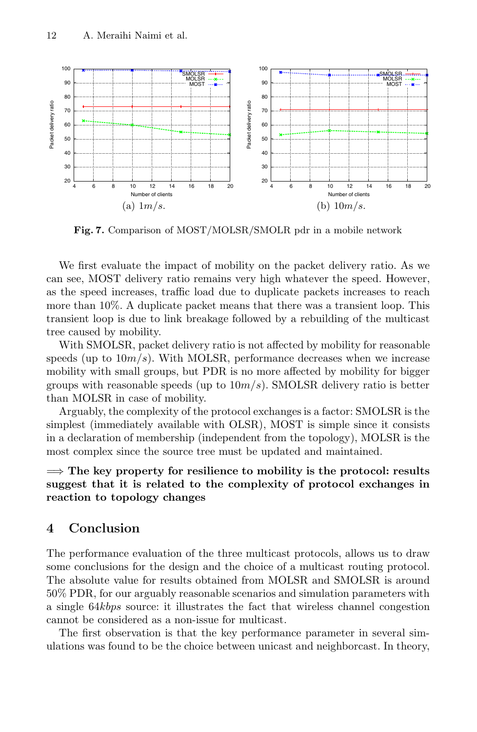

**Fig. 7.** Comparison of MOST/MOLSR/SMOLR pdr in a mobile network

We first evaluate the impact of mobility on the packet delivery ratio. As we can see, MOST delivery ratio remains very high whatever the speed. However, as the speed increases, traffic load due to duplicate packets increases to reach more than 10%. A duplicate packet means that there was a transient loop. This transient loop is due to link breakage followed by a rebuilding of the multicast tree caused by mobility.

With SMOLSR, packet delivery ratio is not affected by mobility for reasonable speeds (up to 10*m/s*). With MOLSR, performance decreases when we increase mobility with small groups, but PDR is no more affected by mobility for bigger groups with reasonable speeds (up to 10*m/s*). SMOLSR delivery ratio is better than MOLSR in case of mobility.

Arguably, the complexity of the protocol exchanges is a factor: SMOLSR is the simplest (immediately available with OLSR), MOST is simple since it consists in a declaration of membership (independent from the topology), MOLSR is the most complex since the source tree must be updated and maintained.

=⇒ **The key property for resilience to mobility is the protocol: results suggest that it is related to the complexity of protocol exchanges in reaction to topology changes**

## <span id="page-11-0"></span>**4 Conclusion**

The performance evaluation of the three multicast protocols, allows us to draw some conclusions for the design and the choice of a multicast routing protocol. The absolute value for results obtained from MOLSR and SMOLSR is around 50% PDR, for our arguably reasonable scenarios and simulation parameters with a single 64*kbps* source: it illustrates the fact that wireless channel congestion cannot be considered as a non-issue for multicast.

The first observation is that the key performance parameter in several simulations was found to be the choice between unicast and neighborcast. In theory,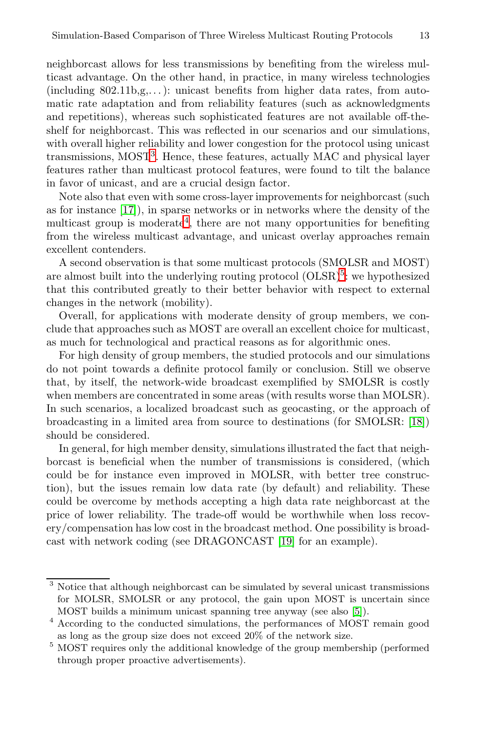ne[ig](#page-12-0)hborcast allows for less transmissions by benefiting from the wireless multicast advantage. On the other hand, in practice, in many wireless technologies  $(including 802.11b,g,...):$  unicast benefits from higher data rates, from automatic rate adaptation and from reliability features (such as acknowledgments and repe[tit](#page-12-1)ions), whereas such sophisticated features are not available off-theshelf for neighborcast. This was reflected in our scenarios and our simulations, with overall higher reliability and lower congestion for the protocol using unicast transmissions, MOST<sup>3</sup>. Hence, these features, actually MAC and physical layer features rather than multicast protocol f[ea](#page-12-2)tures, were found to tilt the balance in favor of unicast, and are a crucial design factor.

Note also that even with some cross-layer improvements for neighborcast (such as for instance [17]), in sparse networks or in networks where the density of the multicast group is moderate<sup>4</sup>, there are not many opportunities for benefiting from the wireless multicast advantage, and unicast overlay approaches remain excellent contenders.

A second observation is that some multicast protocols (SMOLSR and MOST) are almost built into the underlying routing protocol  $(OLSR)^5$ : we hypothesized that this contributed greatly to their better behavior with respect to external changes in the network (mobility).

Overall, for applications with moderate density of g[roup](#page-13-11) members, we conclude that approaches such as MOST are overall an excellent choice for multicast, as much for technological and practical reasons as for algorithmic ones.

For high density of group members, the studied protocols and our simulations do not point towards a definite protocol family or conclusion. Still we observe that, by itself, the network-wide broadcast exemplified by SMOLSR is costly when members are concentrated in some areas (with results worse than MOLSR). In such scenarios, a localized broadcast such as geocasting, or the approach of broadcasting in a limited area from source to destinations (for SMOLSR: [18]) should be considered.

<span id="page-12-0"></span>In general, for high membe[r](#page-13-12) [de](#page-13-12)nsity, simulations illustrated the fact that neighborcast is beneficial when the number of transmissions is considered, (which could be for instance even improved in MOLSR, with better tree construction), but the issues remain low data rate (by default) and reliability. These could be overcome by methods accepting a high data rate neighborcast at the price of lower reliability. The trade-off wou[ld](#page-13-9) be worthwhile when loss recovery/compensation has low cost in the broadcast method. One possibility is broadcast with network coding (see DRAGONCAST [19] for an example).

<span id="page-12-2"></span><span id="page-12-1"></span><sup>&</sup>lt;sup>3</sup> Notice that although neighborcast can be simulated by several unicast transmissions for MOLSR, SMOLSR or any protocol, the gain upon MOST is uncertain since MOST builds a minimum unicast spanning tree anyway (see also [5]).

<sup>4</sup> According to the conducted simulations, the performances of MOST remain good as long as the group size does not exceed 20% of the network size.

<sup>&</sup>lt;sup>5</sup> MOST requires only the additional knowledge of the group membership (performed through proper proactive advertisements).